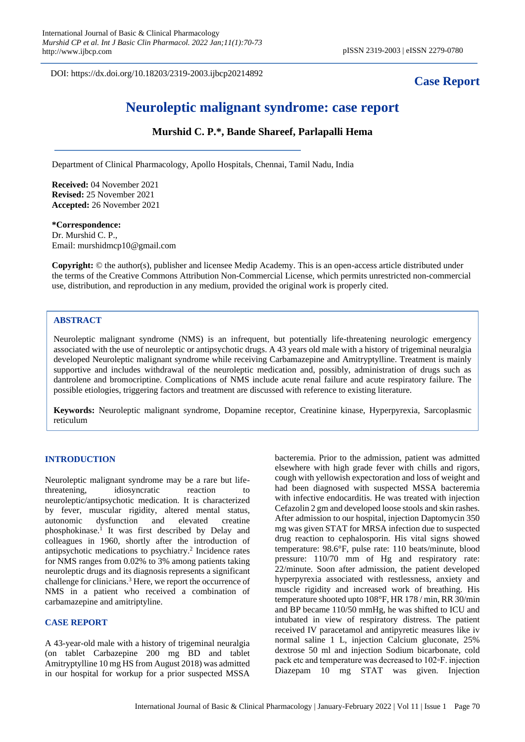DOI: https://dx.doi.org/10.18203/2319-2003.ijbcp20214892

## **Case Report**

# **Neuroleptic malignant syndrome: case report**

### **Murshid C. P.\*, Bande Shareef, Parlapalli Hema**

Department of Clinical Pharmacology, Apollo Hospitals, Chennai, Tamil Nadu, India

**Received:** 04 November 2021 **Revised:** 25 November 2021 **Accepted:** 26 November 2021

## **\*Correspondence:**

Dr. Murshid C. P., Email: murshidmcp10@gmail.com

**Copyright:** © the author(s), publisher and licensee Medip Academy. This is an open-access article distributed under the terms of the Creative Commons Attribution Non-Commercial License, which permits unrestricted non-commercial use, distribution, and reproduction in any medium, provided the original work is properly cited.

## **ABSTRACT**

Neuroleptic malignant syndrome (NMS) is an infrequent, but potentially life-threatening neurologic emergency associated with the use of neuroleptic or antipsychotic drugs. A 43 years old male with a history of trigeminal neuralgia developed Neuroleptic malignant syndrome while receiving Carbamazepine and Amitryptylline. Treatment is mainly supportive and includes withdrawal of the neuroleptic medication and, possibly, administration of drugs such as dantrolene and bromocriptine. Complications of NMS include acute renal failure and acute respiratory failure. The possible etiologies, triggering factors and treatment are discussed with reference to existing literature.

**Keywords:** Neuroleptic malignant syndrome, Dopamine receptor, Creatinine kinase, Hyperpyrexia, Sarcoplasmic reticulum

#### **INTRODUCTION**

Neuroleptic malignant syndrome may be a rare but lifethreatening, idiosyncratic reaction to neuroleptic/antipsychotic medication. It is characterized by fever, muscular rigidity, altered mental status, autonomic dysfunction and elevated creatine phosphokinase.<sup>1</sup> It was first described by Delay and colleagues in 1960, shortly after the introduction of antipsychotic medications to psychiatry.<sup>2</sup> Incidence rates for NMS ranges from 0.02% to 3% among patients taking neuroleptic drugs and its diagnosis represents a significant challenge for clinicians.<sup>3</sup> Here, we report the occurrence of NMS in a patient who received a combination of carbamazepine and amitriptyline.

#### **CASE REPORT**

A 43-year-old male with a history of trigeminal neuralgia (on tablet Carbazepine 200 mg BD and tablet Amitryptylline 10 mg HS from August 2018) was admitted in our hospital for workup for a prior suspected MSSA

bacteremia. Prior to the admission, patient was admitted elsewhere with high grade fever with chills and rigors, cough with yellowish expectoration and loss of weight and had been diagnosed with suspected MSSA bacteremia with infective endocarditis. He was treated with injection Cefazolin 2 gm and developed loose stools and skin rashes. After admission to our hospital, injection Daptomycin 350 mg was given STAT for MRSA infection due to suspected drug reaction to cephalosporin. His vital signs showed temperature: 98.6°F, pulse rate: 110 beats/minute, blood pressure: 110/70 mm of Hg and respiratory rate: 22/minute. Soon after admission, the patient developed hyperpyrexia associated with restlessness, anxiety and muscle rigidity and increased work of breathing. His temperature shooted upto 108°F, HR 178 / min, RR 30/min and BP became 110/50 mmHg, he was shifted to ICU and intubated in view of respiratory distress. The patient received IV paracetamol and antipyretic measures like iv normal saline 1 L, injection Calcium gluconate, 25% dextrose 50 ml and injection Sodium bicarbonate, cold pack etc and temperature was decreased to 102◦F. injection Diazepam 10 mg STAT was given. Injection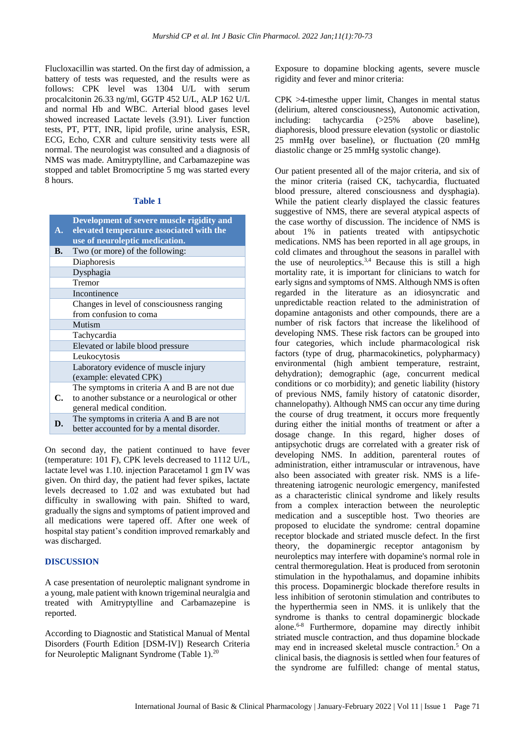Flucloxacillin was started. On the first day of admission, a battery of tests was requested, and the results were as follows: CPK level was 1304 U/L with serum procalcitonin 26.33 ng/ml, GGTP 452 U/L, ALP 162 U/L and normal Hb and WBC. Arterial blood gases level showed increased Lactate levels (3.91). Liver function tests, PT, PTT, INR, lipid profile, urine analysis, ESR, ECG, Echo, CXR and culture sensitivity tests were all normal. The neurologist was consulted and a diagnosis of NMS was made. Amitryptylline, and Carbamazepine was stopped and tablet Bromocriptine 5 mg was started every 8 hours.

#### **Table 1**

|                | Development of severe muscle rigidity and       |
|----------------|-------------------------------------------------|
| $\mathbf{A}$ . | elevated temperature associated with the        |
|                | use of neuroleptic medication.                  |
| В.             | Two (or more) of the following:                 |
|                | Diaphoresis                                     |
|                | Dysphagia                                       |
|                | Tremor                                          |
|                | Incontinence                                    |
|                | Changes in level of consciousness ranging       |
|                | from confusion to coma                          |
|                | Mutism                                          |
|                | Tachycardia                                     |
|                | Elevated or labile blood pressure               |
|                | Leukocytosis                                    |
|                | Laboratory evidence of muscle injury            |
|                | (example: elevated CPK)                         |
|                | The symptoms in criteria A and B are not due    |
| C.             | to another substance or a neurological or other |
|                | general medical condition.                      |
| D.             | The symptoms in criteria A and B are not        |
|                | better accounted for by a mental disorder.      |

On second day, the patient continued to have fever (temperature: 101 F), CPK levels decreased to 1112 U/L, lactate level was 1.10. injection Paracetamol 1 gm IV was given. On third day, the patient had fever spikes, lactate levels decreased to 1.02 and was extubated but had difficulty in swallowing with pain. Shifted to ward, gradually the signs and symptoms of patient improved and all medications were tapered off. After one week of hospital stay patient's condition improved remarkably and was discharged.

#### **DISCUSSION**

A case presentation of neuroleptic malignant syndrome in a young, male patient with known trigeminal neuralgia and treated with Amitryptylline and Carbamazepine is reported.

According to Diagnostic and Statistical Manual of Mental Disorders (Fourth Edition [DSM-IV]) Research Criteria for Neuroleptic Malignant Syndrome (Table 1).<sup>20</sup>

Exposure to dopamine blocking agents, severe muscle rigidity and fever and minor criteria:

CPK >4-timesthe upper limit, Changes in mental status (delirium, altered consciousness), Autonomic activation, including: tachycardia (>25% above baseline), diaphoresis, blood pressure elevation (systolic or diastolic 25 mmHg over baseline), or fluctuation (20 mmHg diastolic change or 25 mmHg systolic change).

Our patient presented all of the major criteria, and six of the minor criteria (raised CK, tachycardia, fluctuated blood pressure, altered consciousness and dysphagia). While the patient clearly displayed the classic features suggestive of NMS, there are several atypical aspects of the case worthy of discussion. The incidence of NMS is about 1% in patients treated with antipsychotic medications. NMS has been reported in all age groups, in cold climates and throughout the seasons in parallel with the use of neuroleptics.<sup>3,4</sup> Because this is still a high mortality rate, it is important for clinicians to watch for early signs and symptoms of NMS. Although NMS is often regarded in the literature as an idiosyncratic and unpredictable reaction related to the administration of dopamine antagonists and other compounds, there are a number of risk factors that increase the likelihood of developing NMS. These risk factors can be grouped into four categories, which include pharmacological risk factors (type of drug, pharmacokinetics, polypharmacy) environmental (high ambient temperature, restraint, dehydration); demographic (age, concurrent medical conditions or co morbidity); and genetic liability (history of previous NMS, family history of catatonic disorder, channelopathy). Although NMS can occur any time during the course of drug treatment, it occurs more frequently during either the initial months of treatment or after a dosage change. In this regard, higher doses of antipsychotic drugs are correlated with a greater risk of developing NMS. In addition, parenteral routes of administration, either intramuscular or intravenous, have also been associated with greater risk. NMS is a lifethreatening iatrogenic neurologic emergency, manifested as a characteristic clinical syndrome and likely results from a complex interaction between the neuroleptic medication and a susceptible host. Two theories are proposed to elucidate the syndrome: central dopamine receptor blockade and striated muscle defect. In the first theory, the dopaminergic receptor antagonism by neuroleptics may interfere with dopamine's normal role in central thermoregulation. Heat is produced from serotonin stimulation in the hypothalamus, and dopamine inhibits this process. Dopaminergic blockade therefore results in less inhibition of serotonin stimulation and contributes to the hyperthermia seen in NMS. it is unlikely that the syndrome is thanks to central dopaminergic blockade alone. 6-8 Furthermore, dopamine may directly inhibit striated muscle contraction, and thus dopamine blockade may end in increased skeletal muscle contraction.<sup>5</sup> On a clinical basis, the diagnosis is settled when four features of the syndrome are fulfilled: change of mental status,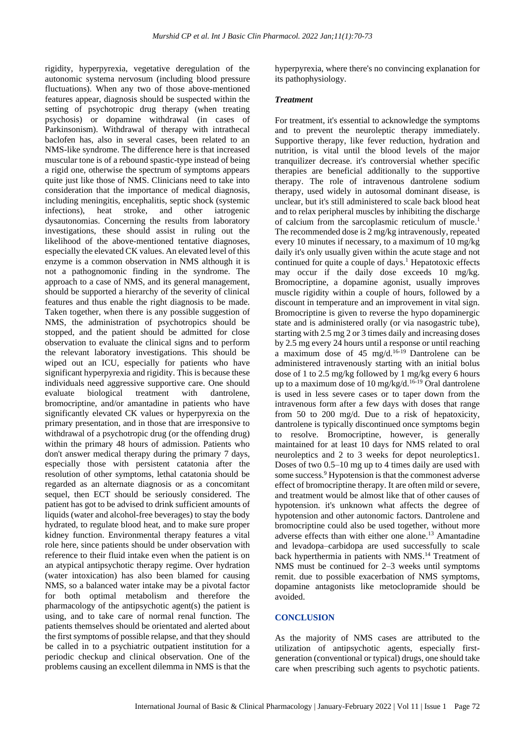rigidity, hyperpyrexia, vegetative deregulation of the autonomic systema nervosum (including blood pressure fluctuations). When any two of those above-mentioned features appear, diagnosis should be suspected within the setting of psychotropic drug therapy (when treating psychosis) or dopamine withdrawal (in cases of Parkinsonism). Withdrawal of therapy with intrathecal baclofen has, also in several cases, been related to an NMS-like syndrome. The difference here is that increased muscular tone is of a rebound spastic-type instead of being a rigid one, otherwise the spectrum of symptoms appears quite just like those of NMS. Clinicians need to take into consideration that the importance of medical diagnosis, including meningitis, encephalitis, septic shock (systemic infections), heat stroke, and other iatrogenic dysautonomias. Concerning the results from laboratory investigations, these should assist in ruling out the likelihood of the above-mentioned tentative diagnoses, especially the elevated CK values. An elevated level of this enzyme is a common observation in NMS although it is not a pathognomonic finding in the syndrome. The approach to a case of NMS, and its general management, should be supported a hierarchy of the severity of clinical features and thus enable the right diagnosis to be made. Taken together, when there is any possible suggestion of NMS, the administration of psychotropics should be stopped, and the patient should be admitted for close observation to evaluate the clinical signs and to perform the relevant laboratory investigations. This should be wiped out an ICU, especially for patients who have significant hyperpyrexia and rigidity. This is because these individuals need aggressive supportive care. One should evaluate biological treatment with dantrolene, bromocriptine, and/or amantadine in patients who have significantly elevated CK values or hyperpyrexia on the primary presentation, and in those that are irresponsive to withdrawal of a psychotropic drug (or the offending drug) within the primary 48 hours of admission. Patients who don't answer medical therapy during the primary 7 days, especially those with persistent catatonia after the resolution of other symptoms, lethal catatonia should be regarded as an alternate diagnosis or as a concomitant sequel, then ECT should be seriously considered. The patient has got to be advised to drink sufficient amounts of liquids (water and alcohol-free beverages) to stay the body hydrated, to regulate blood heat, and to make sure proper kidney function. Environmental therapy features a vital role here, since patients should be under observation with reference to their fluid intake even when the patient is on an atypical antipsychotic therapy regime. Over hydration (water intoxication) has also been blamed for causing NMS, so a balanced water intake may be a pivotal factor for both optimal metabolism and therefore the pharmacology of the antipsychotic agent(s) the patient is using, and to take care of normal renal function. The patients themselves should be orientated and alerted about the first symptoms of possible relapse, and that they should be called in to a psychiatric outpatient institution for a periodic checkup and clinical observation. One of the problems causing an excellent dilemma in NMS is that the hyperpyrexia, where there's no convincing explanation for its pathophysiology.

#### *Treatment*

For treatment, it's essential to acknowledge the symptoms and to prevent the neuroleptic therapy immediately. Supportive therapy, like fever reduction, hydration and nutrition, is vital until the blood levels of the major tranquilizer decrease. it's controversial whether specific therapies are beneficial additionally to the supportive therapy. The role of intravenous dantrolene sodium therapy, used widely in autosomal dominant disease, is unclear, but it's still administered to scale back blood heat and to relax peripheral muscles by inhibiting the discharge of calcium from the sarcoplasmic reticulum of muscle. 1 The recommended dose is 2 mg/kg intravenously, repeated every 10 minutes if necessary, to a maximum of 10 mg/kg daily it's only usually given within the acute stage and not continued for quite a couple of days.<sup>1</sup> Hepatotoxic effects may occur if the daily dose exceeds 10 mg/kg. Bromocriptine, a dopamine agonist, usually improves muscle rigidity within a couple of hours, followed by a discount in temperature and an improvement in vital sign. Bromocriptine is given to reverse the hypo dopaminergic state and is administered orally (or via nasogastric tube), starting with 2.5 mg 2 or 3 times daily and increasing doses by 2.5 mg every 24 hours until a response or until reaching a maximum dose of 45 mg/d.<sup>16-19</sup> Dantrolene can be administered intravenously starting with an initial bolus dose of 1 to 2.5 mg/kg followed by 1 mg/kg every 6 hours up to a maximum dose of 10 mg/kg/d.<sup>16-19</sup> Oral dantrolene is used in less severe cases or to taper down from the intravenous form after a few days with doses that range from 50 to 200 mg/d. Due to a risk of hepatoxicity, dantrolene is typically discontinued once symptoms begin to resolve. Bromocriptine, however, is generally maintained for at least 10 days for NMS related to oral neuroleptics and 2 to 3 weeks for depot neuroleptics1. Doses of two 0.5–10 mg up to 4 times daily are used with some success.<sup>9</sup> Hypotension is that the commonest adverse effect of bromocriptine therapy. It are often mild or severe, and treatment would be almost like that of other causes of hypotension. it's unknown what affects the degree of hypotension and other autonomic factors. Dantrolene and bromocriptine could also be used together, without more adverse effects than with either one alone. <sup>13</sup> Amantadine and levadopa–carbidopa are used successfully to scale back hyperthermia in patients with NMS. <sup>14</sup> Treatment of NMS must be continued for 2–3 weeks until symptoms remit. due to possible exacerbation of NMS symptoms, dopamine antagonists like metoclopramide should be avoided.

#### **CONCLUSION**

As the majority of NMS cases are attributed to the utilization of antipsychotic agents, especially firstgeneration (conventional or typical) drugs, one should take care when prescribing such agents to psychotic patients.